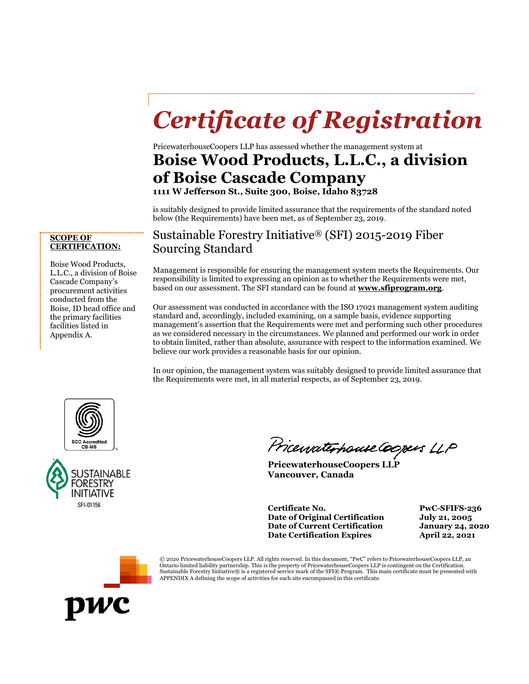# *Certificate of Registration*

PricewaterhouseCoopers LLP has assessed whether the management system at **Boise Wood Products, L.L.C., a division of Boise Cascade Company** 

**1111 W Jefferson St., Suite 300, Boise, Idaho 83728** 

is suitably designed to provide limited assurance that the requirements of the standard noted below (the Requirements) have been met, as of September 23, 2019.

### Sustainable Forestry Initiative® (SFI) 2015-2019 Fiber Sourcing Standard

Management is responsible for ensuring the management system meets the Requirements. Our responsibility is limited to expressing an opinion as to whether the Requirements were met, based on our assessment. The SFI standard can be found at **www.sfiprogram.org**.

Our assessment was conducted in accordance with the ISO 17021 management system auditing standard and, accordingly, included examining, on a sample basis, evidence supporting management's assertion that the Requirements were met and performing such other procedures as we considered necessary in the circumstances. We planned and performed our work in order to obtain limited, rather than absolute, assurance with respect to the information examined. We believe our work provides a reasonable basis for our opinion.

In our opinion, the management system was suitably designed to provide limited assurance that the Requirements were met, in all material respects, as of September 23, 2019.





Pricewaterhouse Coopers LLP

**PricewaterhouseCoopers LLP Vancouver, Canada** 

**Certificate No. PwC-SFIFS-236 Date of Original Certification July 21, 2005 Date of Current Certification January 24, 2020 Date Certification Expires April 22, 2021**



© 2020 PricewaterhouseCoopers LLP. All rights reserved. In this document, "PwC" refers to PricewaterhouseCoopers LLP, an Ontario limited liability partnership. This is the property of PricewaterhouseCoopers LLP is contingent on the Certification. Sustainable Forestry Initiative® is a registered service mark of the SFI® Program. This main certificate must be presented with APPENDIX A defining the scope of activities for each site encompassed in this certificate.

#### **SCOPE OF CERTIFICATION:**

Boise Wood Products, L.L.C., a division of Boise Cascade Company's procurement activities conducted from the Boise, ID head office and the primary facilities facilities listed in Appendix A.